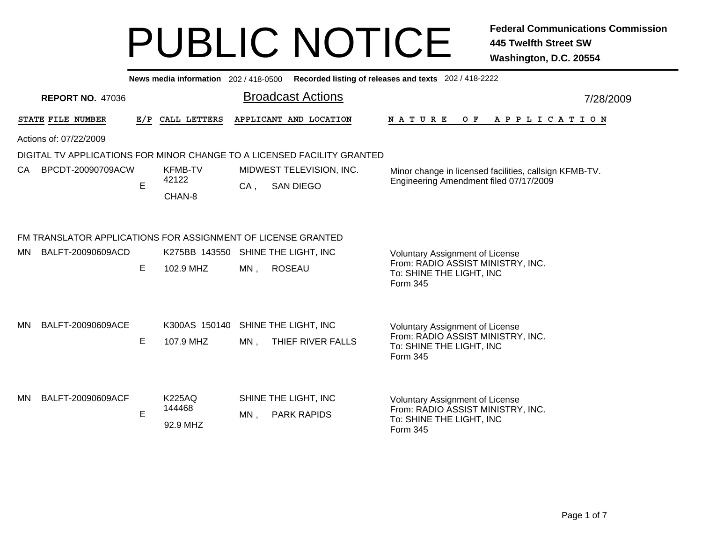|     |                                                              |     | News media information 202/418-0500             |        |                                                                         | Recorded listing of releases and texts 202 / 418-2222                                                               |           |
|-----|--------------------------------------------------------------|-----|-------------------------------------------------|--------|-------------------------------------------------------------------------|---------------------------------------------------------------------------------------------------------------------|-----------|
|     | <b>REPORT NO. 47036</b>                                      |     |                                                 |        | <b>Broadcast Actions</b>                                                |                                                                                                                     | 7/28/2009 |
|     | STATE FILE NUMBER                                            | E/P | CALL LETTERS                                    |        | APPLICANT AND LOCATION                                                  | NATURE<br>O F<br>A P P L I C A T I O N                                                                              |           |
|     | Actions of: 07/22/2009                                       |     |                                                 |        |                                                                         |                                                                                                                     |           |
|     |                                                              |     |                                                 |        | DIGITAL TV APPLICATIONS FOR MINOR CHANGE TO A LICENSED FACILITY GRANTED |                                                                                                                     |           |
| CA. | BPCDT-20090709ACW                                            | E   | <b>KFMB-TV</b><br>42122<br>CHAN-8               | $CA$ , | MIDWEST TELEVISION, INC.<br><b>SAN DIEGO</b>                            | Minor change in licensed facilities, callsign KFMB-TV.<br>Engineering Amendment filed 07/17/2009                    |           |
|     | FM TRANSLATOR APPLICATIONS FOR ASSIGNMENT OF LICENSE GRANTED |     |                                                 |        |                                                                         |                                                                                                                     |           |
| MN  | BALFT-20090609ACD                                            | E   | K275BB 143550 SHINE THE LIGHT, INC<br>102.9 MHZ | MN,    | <b>ROSEAU</b>                                                           | <b>Voluntary Assignment of License</b><br>From: RADIO ASSIST MINISTRY, INC.<br>To: SHINE THE LIGHT, INC<br>Form 345 |           |
| MN  | BALFT-20090609ACE                                            | E   | K300AS 150140 SHINE THE LIGHT, INC<br>107.9 MHZ | $MN$ , | THIEF RIVER FALLS                                                       | <b>Voluntary Assignment of License</b><br>From: RADIO ASSIST MINISTRY, INC.<br>To: SHINE THE LIGHT, INC<br>Form 345 |           |
| MN  | BALFT-20090609ACF                                            | E   | <b>K225AQ</b><br>144468<br>92.9 MHZ             | MN,    | SHINE THE LIGHT, INC<br><b>PARK RAPIDS</b>                              | Voluntary Assignment of License<br>From: RADIO ASSIST MINISTRY, INC.<br>To: SHINE THE LIGHT, INC<br>Form 345        |           |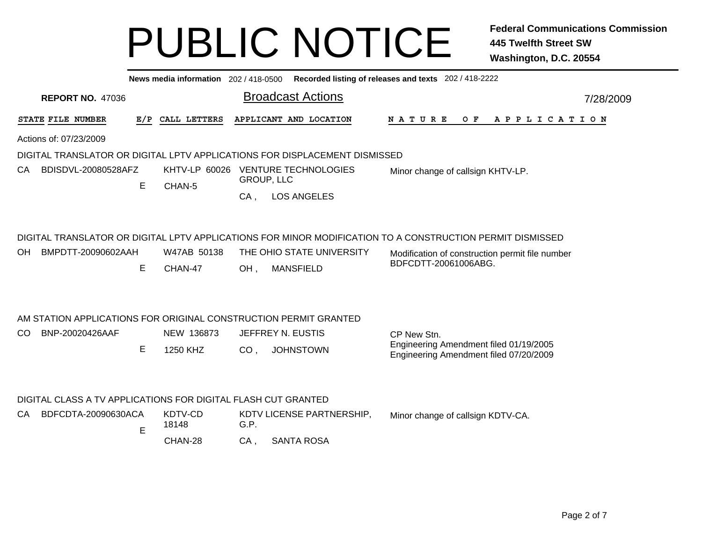| News media information 202 / 418-0500 Recorded listing of releases and texts 202 / 418-2222 |                                                                            |                                                      |                                                                                                                                                                                      |  |  |  |  |  |  |  |
|---------------------------------------------------------------------------------------------|----------------------------------------------------------------------------|------------------------------------------------------|--------------------------------------------------------------------------------------------------------------------------------------------------------------------------------------|--|--|--|--|--|--|--|
| <b>REPORT NO. 47036</b>                                                                     |                                                                            | <b>Broadcast Actions</b>                             | 7/28/2009                                                                                                                                                                            |  |  |  |  |  |  |  |
| STATE FILE NUMBER<br>E/P                                                                    | CALL LETTERS                                                               | APPLICANT AND LOCATION                               | N A T U R E<br>O F<br>A P P L I C A T I O N                                                                                                                                          |  |  |  |  |  |  |  |
| Actions of: 07/23/2009                                                                      |                                                                            |                                                      |                                                                                                                                                                                      |  |  |  |  |  |  |  |
|                                                                                             | DIGITAL TRANSLATOR OR DIGITAL LPTV APPLICATIONS FOR DISPLACEMENT DISMISSED |                                                      |                                                                                                                                                                                      |  |  |  |  |  |  |  |
| BDISDVL-20080528AFZ<br>CA.<br>E                                                             | KHTV-LP 60026                                                              | <b>VENTURE TECHNOLOGIES</b><br><b>GROUP, LLC</b>     | Minor change of callsign KHTV-LP.                                                                                                                                                    |  |  |  |  |  |  |  |
|                                                                                             | CHAN-5                                                                     | <b>LOS ANGELES</b><br>$CA$ ,                         |                                                                                                                                                                                      |  |  |  |  |  |  |  |
| BMPDTT-20090602AAH<br><b>OH</b><br>E                                                        | W47AB 50138<br>CHAN-47                                                     | THE OHIO STATE UNIVERSITY<br><b>MANSFIELD</b><br>OH, | DIGITAL TRANSLATOR OR DIGITAL LPTV APPLICATIONS FOR MINOR MODIFICATION TO A CONSTRUCTION PERMIT DISMISSED<br>Modification of construction permit file number<br>BDFCDTT-20061006ABG. |  |  |  |  |  |  |  |
| AM STATION APPLICATIONS FOR ORIGINAL CONSTRUCTION PERMIT GRANTED                            |                                                                            |                                                      |                                                                                                                                                                                      |  |  |  |  |  |  |  |
| BNP-20020426AAF<br>CO.                                                                      | NEW 136873                                                                 | JEFFREY N. EUSTIS                                    | CP New Stn.                                                                                                                                                                          |  |  |  |  |  |  |  |
| E                                                                                           | 1250 KHZ                                                                   | CO <sub>1</sub><br><b>JOHNSTOWN</b>                  | Engineering Amendment filed 01/19/2005<br>Engineering Amendment filed 07/20/2009                                                                                                     |  |  |  |  |  |  |  |
| DIGITAL CLASS A TV APPLICATIONS FOR DIGITAL FLASH CUT GRANTED                               |                                                                            |                                                      |                                                                                                                                                                                      |  |  |  |  |  |  |  |
| BDFCDTA-20090630ACA<br>CA<br>E                                                              | KDTV-CD<br>18148                                                           | KDTV LICENSE PARTNERSHIP,<br>G.P.                    | Minor change of callsign KDTV-CA.                                                                                                                                                    |  |  |  |  |  |  |  |
|                                                                                             | CHAN-28                                                                    | <b>SANTA ROSA</b><br>CA,                             |                                                                                                                                                                                      |  |  |  |  |  |  |  |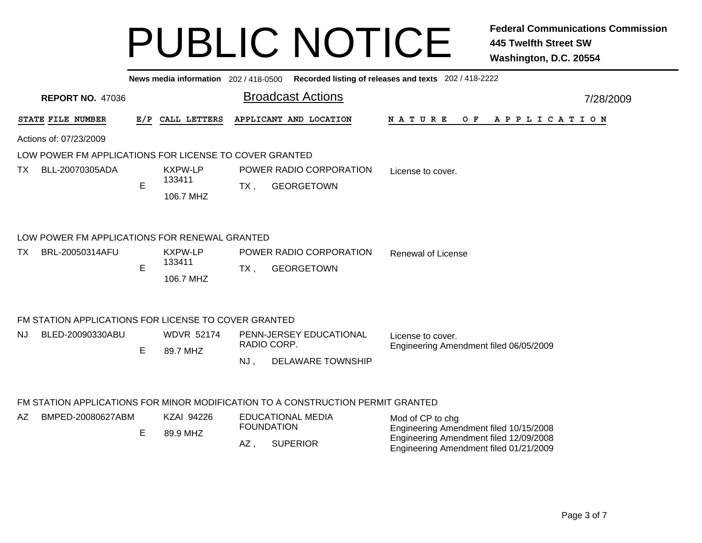|     |                                                        |     |                                       |        |                                                                                 | News media information 202/418-0500 Recorded listing of releases and texts 202/418-2222 |  |
|-----|--------------------------------------------------------|-----|---------------------------------------|--------|---------------------------------------------------------------------------------|-----------------------------------------------------------------------------------------|--|
|     | <b>REPORT NO. 47036</b>                                |     |                                       |        | <b>Broadcast Actions</b>                                                        | 7/28/2009                                                                               |  |
|     | STATE FILE NUMBER                                      | E/P | CALL LETTERS                          |        | APPLICANT AND LOCATION                                                          | N A T U R E<br>$O$ $F$<br>A P P L I C A T I O N                                         |  |
|     | Actions of: 07/23/2009                                 |     |                                       |        |                                                                                 |                                                                                         |  |
|     | LOW POWER FM APPLICATIONS FOR LICENSE TO COVER GRANTED |     |                                       |        |                                                                                 |                                                                                         |  |
| TX. | BLL-20070305ADA                                        | E   | KXPW-LP<br>133411<br>106.7 MHZ        | $TX$ , | POWER RADIO CORPORATION<br><b>GEORGETOWN</b>                                    | License to cover.                                                                       |  |
|     | LOW POWER FM APPLICATIONS FOR RENEWAL GRANTED          |     |                                       |        |                                                                                 |                                                                                         |  |
| TX. | BRL-20050314AFU                                        | E   | <b>KXPW-LP</b><br>133411<br>106.7 MHZ | $TX$ , | POWER RADIO CORPORATION<br><b>GEORGETOWN</b>                                    | <b>Renewal of License</b>                                                               |  |
|     | FM STATION APPLICATIONS FOR LICENSE TO COVER GRANTED   |     |                                       |        |                                                                                 |                                                                                         |  |
| NJ. | BLED-20090330ABU                                       | Е   | <b>WDVR 52174</b><br>89.7 MHZ         |        | PENN-JERSEY EDUCATIONAL<br>RADIO CORP.                                          | License to cover.<br>Engineering Amendment filed 06/05/2009                             |  |
|     |                                                        |     |                                       | NJ,    | <b>DELAWARE TOWNSHIP</b>                                                        |                                                                                         |  |
|     |                                                        |     |                                       |        | FM STATION APPLICATIONS FOR MINOR MODIFICATION TO A CONSTRUCTION PERMIT GRANTED |                                                                                         |  |
| AZ  | BMPED-20080627ABM                                      |     | <b>KZAI 94226</b>                     |        | <b>EDUCATIONAL MEDIA</b><br><b>FOUNDATION</b>                                   | Mod of CP to chg<br>Engineering Amendment filed 10/15/2008                              |  |
|     |                                                        | E   | 89.9 MHZ                              | AZ,    | <b>SUPERIOR</b>                                                                 | Engineering Amendment filed 12/09/2008<br>Engineering Amendment filed 01/21/2009        |  |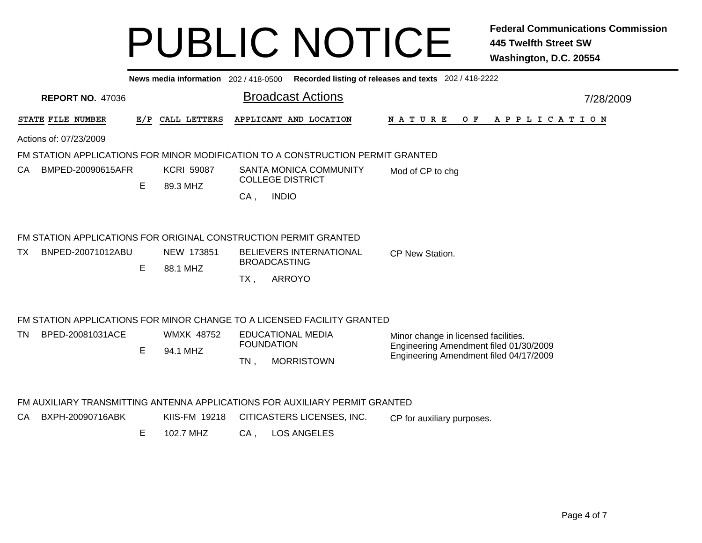|     | News media information 202 / 418-0500 Recorded listing of releases and texts 202 / 418-2222 |                         |     |                        |                                                                                 |                                                                                  |  |  |  |  |  |  |
|-----|---------------------------------------------------------------------------------------------|-------------------------|-----|------------------------|---------------------------------------------------------------------------------|----------------------------------------------------------------------------------|--|--|--|--|--|--|
|     |                                                                                             | <b>REPORT NO. 47036</b> |     |                        | <b>Broadcast Actions</b>                                                        | 7/28/2009                                                                        |  |  |  |  |  |  |
|     | STATE FILE NUMBER                                                                           |                         | E/P | CALL LETTERS           | APPLICANT AND LOCATION                                                          | <b>NATURE</b><br>$O$ $F$<br>APPLICATION                                          |  |  |  |  |  |  |
|     | Actions of: 07/23/2009                                                                      |                         |     |                        |                                                                                 |                                                                                  |  |  |  |  |  |  |
|     |                                                                                             |                         |     |                        | FM STATION APPLICATIONS FOR MINOR MODIFICATION TO A CONSTRUCTION PERMIT GRANTED |                                                                                  |  |  |  |  |  |  |
| CA  |                                                                                             | BMPED-20090615AFR       |     | <b>KCRI 59087</b>      | <b>SANTA MONICA COMMUNITY</b><br><b>COLLEGE DISTRICT</b>                        | Mod of CP to chg                                                                 |  |  |  |  |  |  |
|     |                                                                                             |                         | Е   | 89.3 MHZ               | <b>INDIO</b><br>CA,                                                             |                                                                                  |  |  |  |  |  |  |
|     |                                                                                             |                         |     |                        | FM STATION APPLICATIONS FOR ORIGINAL CONSTRUCTION PERMIT GRANTED                |                                                                                  |  |  |  |  |  |  |
| TX. |                                                                                             | BNPED-20071012ABU       | Е   | NEW 173851<br>88.1 MHZ | <b>BELIEVERS INTERNATIONAL</b><br><b>BROADCASTING</b>                           | CP New Station.                                                                  |  |  |  |  |  |  |
|     |                                                                                             |                         |     |                        | <b>ARROYO</b><br>TX,                                                            |                                                                                  |  |  |  |  |  |  |
|     |                                                                                             |                         |     |                        | FM STATION APPLICATIONS FOR MINOR CHANGE TO A LICENSED FACILITY GRANTED         |                                                                                  |  |  |  |  |  |  |
| TN  |                                                                                             | BPED-20081031ACE        |     | <b>WMXK 48752</b>      | <b>EDUCATIONAL MEDIA</b><br><b>FOUNDATION</b>                                   | Minor change in licensed facilities.                                             |  |  |  |  |  |  |
|     |                                                                                             |                         | E   | 94.1 MHZ               | <b>MORRISTOWN</b><br>$TN$ ,                                                     | Engineering Amendment filed 01/30/2009<br>Engineering Amendment filed 04/17/2009 |  |  |  |  |  |  |
|     |                                                                                             |                         |     |                        |                                                                                 |                                                                                  |  |  |  |  |  |  |
|     |                                                                                             |                         |     |                        | FM AUXILIARY TRANSMITTING ANTENNA APPLICATIONS FOR AUXILIARY PERMIT GRANTED     |                                                                                  |  |  |  |  |  |  |
| CA. |                                                                                             | BXPH-20090716ABK        |     | KIIS-FM 19218          | CITICASTERS LICENSES, INC.                                                      | CP for auxiliary purposes.                                                       |  |  |  |  |  |  |
|     |                                                                                             |                         | Е   | 102.7 MHZ              | <b>LOS ANGELES</b><br>$CA$ ,                                                    |                                                                                  |  |  |  |  |  |  |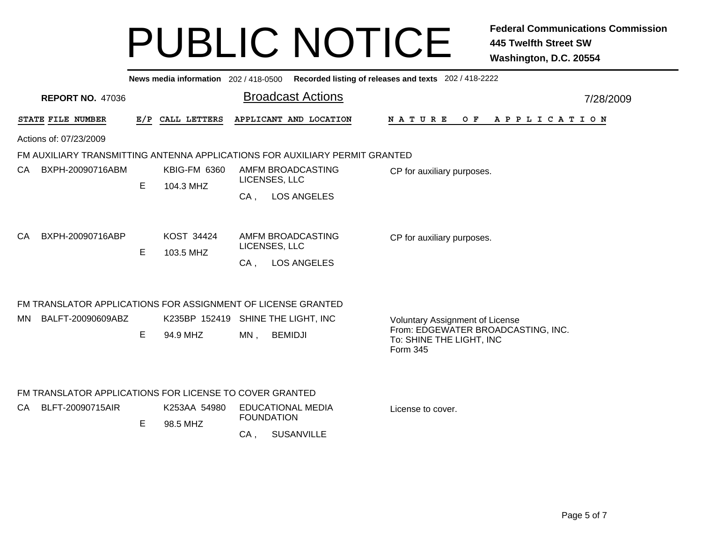|    |                                                                             |     |                                    |                          | News media information 202/418-0500 Recorded listing of releases and texts 202/418-2222 |                            |                                        |  |                          |  |         |                                    |  |  |  |           |  |  |                       |  |
|----|-----------------------------------------------------------------------------|-----|------------------------------------|--------------------------|-----------------------------------------------------------------------------------------|----------------------------|----------------------------------------|--|--------------------------|--|---------|------------------------------------|--|--|--|-----------|--|--|-----------------------|--|
|    | <b>REPORT NO. 47036</b>                                                     |     |                                    | <b>Broadcast Actions</b> |                                                                                         |                            |                                        |  |                          |  |         |                                    |  |  |  | 7/28/2009 |  |  |                       |  |
|    | STATE FILE NUMBER                                                           | E/P | CALL LETTERS                       |                          | APPLICANT AND LOCATION                                                                  |                            | <b>NATURE</b>                          |  |                          |  | $O$ $F$ |                                    |  |  |  |           |  |  | A P P L I C A T I O N |  |
|    | Actions of: 07/23/2009                                                      |     |                                    |                          |                                                                                         |                            |                                        |  |                          |  |         |                                    |  |  |  |           |  |  |                       |  |
|    | FM AUXILIARY TRANSMITTING ANTENNA APPLICATIONS FOR AUXILIARY PERMIT GRANTED |     |                                    |                          |                                                                                         |                            |                                        |  |                          |  |         |                                    |  |  |  |           |  |  |                       |  |
| CA | BXPH-20090716ABM                                                            |     | <b>KBIG-FM 6360</b>                |                          | AMFM BROADCASTING                                                                       |                            | CP for auxiliary purposes.             |  |                          |  |         |                                    |  |  |  |           |  |  |                       |  |
|    |                                                                             | E   | 104.3 MHZ                          |                          | LICENSES, LLC                                                                           |                            |                                        |  |                          |  |         |                                    |  |  |  |           |  |  |                       |  |
|    |                                                                             |     |                                    | $CA$ ,                   | <b>LOS ANGELES</b>                                                                      |                            |                                        |  |                          |  |         |                                    |  |  |  |           |  |  |                       |  |
| CA | BXPH-20090716ABP                                                            |     | KOST 34424                         |                          | AMFM BROADCASTING                                                                       | CP for auxiliary purposes. |                                        |  |                          |  |         |                                    |  |  |  |           |  |  |                       |  |
|    |                                                                             | E   | 103.5 MHZ                          | LICENSES, LLC            |                                                                                         |                            |                                        |  |                          |  |         |                                    |  |  |  |           |  |  |                       |  |
|    |                                                                             |     |                                    | $CA$ ,                   | <b>LOS ANGELES</b>                                                                      |                            |                                        |  |                          |  |         |                                    |  |  |  |           |  |  |                       |  |
|    | FM TRANSLATOR APPLICATIONS FOR ASSIGNMENT OF LICENSE GRANTED                |     |                                    |                          |                                                                                         |                            |                                        |  |                          |  |         |                                    |  |  |  |           |  |  |                       |  |
| MN | BALFT-20090609ABZ                                                           |     | K235BP 152419 SHINE THE LIGHT, INC |                          |                                                                                         |                            | <b>Voluntary Assignment of License</b> |  |                          |  |         |                                    |  |  |  |           |  |  |                       |  |
|    |                                                                             | E   | 94.9 MHZ                           | $MN$ ,                   | <b>BEMIDJI</b>                                                                          |                            | Form 345                               |  | To: SHINE THE LIGHT, INC |  |         | From: EDGEWATER BROADCASTING, INC. |  |  |  |           |  |  |                       |  |
|    | FM TRANSLATOR APPLICATIONS FOR LICENSE TO COVER GRANTED                     |     |                                    |                          |                                                                                         |                            |                                        |  |                          |  |         |                                    |  |  |  |           |  |  |                       |  |
| CA | BLFT-20090715AIR                                                            |     | K253AA 54980                       |                          | <b>EDUCATIONAL MEDIA</b>                                                                | License to cover.          |                                        |  |                          |  |         |                                    |  |  |  |           |  |  |                       |  |
|    |                                                                             | Е   | 98.5 MHZ                           | <b>FOUNDATION</b>        |                                                                                         |                            |                                        |  |                          |  |         |                                    |  |  |  |           |  |  |                       |  |
|    |                                                                             |     |                                    | CA,                      | <b>SUSANVILLE</b>                                                                       |                            |                                        |  |                          |  |         |                                    |  |  |  |           |  |  |                       |  |
|    |                                                                             |     |                                    |                          |                                                                                         |                            |                                        |  |                          |  |         |                                    |  |  |  |           |  |  |                       |  |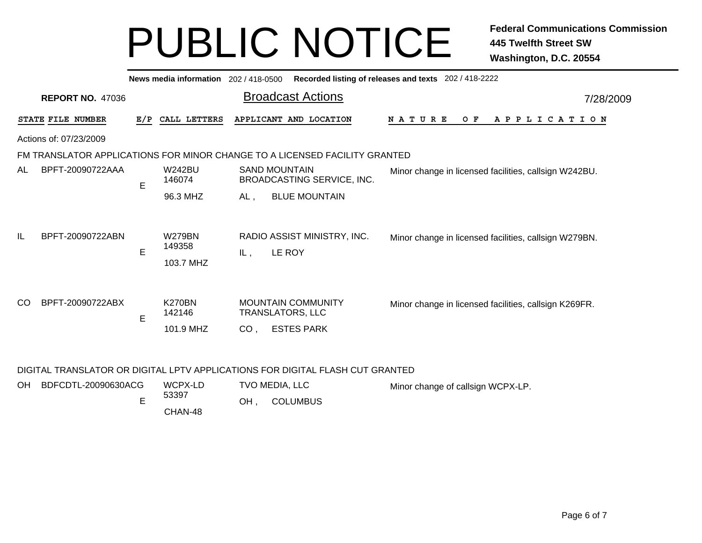|                         |                        |     | News media information 202/418-0500  |                 |                                                                            | Recorded listing of releases and texts 202/418-2222   |
|-------------------------|------------------------|-----|--------------------------------------|-----------------|----------------------------------------------------------------------------|-------------------------------------------------------|
| <b>REPORT NO. 47036</b> |                        |     |                                      |                 | <b>Broadcast Actions</b>                                                   | 7/28/2009                                             |
|                         | STATE FILE NUMBER      | E/P | CALL LETTERS                         |                 | APPLICANT AND LOCATION                                                     | N A T U R E<br>O F<br>A P P L I C A T I O N           |
|                         | Actions of: 07/23/2009 |     |                                      |                 |                                                                            |                                                       |
|                         |                        |     |                                      |                 | FM TRANSLATOR APPLICATIONS FOR MINOR CHANGE TO A LICENSED FACILITY GRANTED |                                                       |
| AL                      | BPFT-20090722AAA       | E   | <b>W242BU</b><br>146074              |                 | <b>SAND MOUNTAIN</b><br>BROADCASTING SERVICE, INC.                         | Minor change in licensed facilities, callsign W242BU. |
|                         |                        |     | 96.3 MHZ                             | AL,             | <b>BLUE MOUNTAIN</b>                                                       |                                                       |
| IL                      | BPFT-20090722ABN       | E   | <b>W279BN</b><br>149358<br>103.7 MHZ | IL .            | RADIO ASSIST MINISTRY, INC.<br>LE ROY                                      | Minor change in licensed facilities, callsign W279BN. |
| CO                      | BPFT-20090722ABX       | E   | <b>K270BN</b><br>142146<br>101.9 MHZ | CO <sub>1</sub> | <b>MOUNTAIN COMMUNITY</b><br>TRANSLATORS, LLC<br><b>ESTES PARK</b>         | Minor change in licensed facilities, callsign K269FR. |

#### DIGITAL TRANSLATOR OR DIGITAL LPTV APPLICATIONS FOR DIGITAL FLASH CUT GRANTED

| OH BDFCDTL-20090630ACG | WCPX-LD |    | TVO MEDIA, LLC  | Minor change of callsign WCPX-LP. |
|------------------------|---------|----|-----------------|-----------------------------------|
|                        | 53397   | OН | <b>COLUMBUS</b> |                                   |
|                        | CHAN-48 |    |                 |                                   |